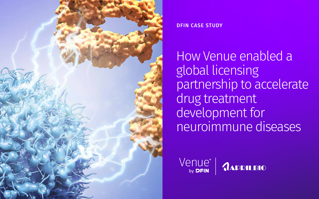# DFIN CASE STUDY





How Venue enabled a global licensing partnership to accelerate drug treatment development for neuroimmune diseases

Venue® by **DFIN**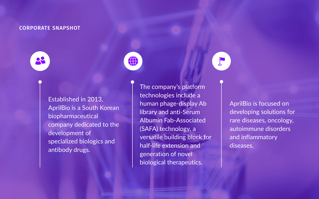## CORPORATE SNAPSHOT



Established in 2013, AprilBio is a South Korean biopharmaceutical company dedicated to the development of specialized biologics and antibody drugs.

The company's platform technologies include a human phage-display Ab library and anti-Serum Albumin Fab-Associated (SAFA) technology, a versatile building block for half-life extension and generation of novel biological therapeutics.

AprilBio is focused on developing solutions for rare diseases, oncology, autoimmune disorders and inflammatory diseases.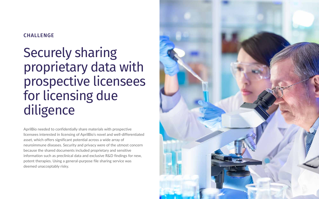AprilBio needed to confidentially share materials with prospective licensees interested in licensing of AprilBio's novel and well-differentiated asset, which offers significant potential across a wide array of neuroimmune diseases. Security and privacy were of the utmost concern because the shared documents included proprietary and sensitive information such as preclinical data and exclusive R&D findings for new, potent therapies. Using a general-purpose file sharing service was deemed unacceptably risky.



# CHALLENGE

# Securely sharing proprietary data with prospective licensees for licensing due diligence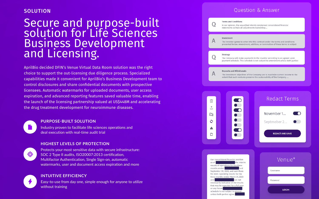# SOLUTION

### **INTUITIVE EFFICIENCY**

Easy-to-use from day one, simple enough for anyone to utilize without training

# **Question & Answer**





# **Redact Terms**





 $\bullet$ 

Septmeber 2...

**REDACT AND SAVE** 



| Venue®       |  |
|--------------|--|
| Username     |  |
| Password     |  |
| <b>LOGIN</b> |  |

### **HIGHEST LEVELS OF PROTECTION**



Protects your most sensitive data with secure infrastructure: SOC 2 Type II audits, ISO20007:2013 certification, Multifactor Authentication, Single Sign-on, automatic watermarks, user and document access expiration and more



### **PURPOSE-BUILT SOLUTION**

Industry proven to facilitate life sciences operations and deal execution with real-time audit trial

# Secure and purpose-built solution for Life Sciences Business Development and Licensing.

AprilBio decided DFIN's Venue Virtual Data Room solution was the right choice to support the out-licensing due diligence process. Specialized capabilities made it convenient for AprilBio's Business Development team to control disclosures and share confidential documents with prospective licensees. Automatic watermarks for uploaded documents, user access expiration, and advanced reporting features saved valuable time, enabling the launch of the licensing partnership valued at US\$448M and accelerating the drug treatment development for neuroimmune diseases.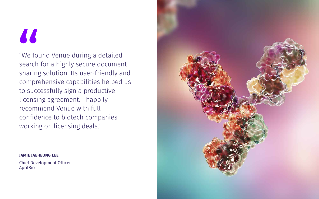### **JAMIE JAEHEUNG LEE**

Chief Development Officer, AprilBio



# 88

"We found Venue during a detailed search for a highly secure document sharing solution. Its user-friendly and comprehensive capabilities helped us to successfully sign a productive licensing agreement. I happily recommend Venue with full confidence to biotech companies working on licensing deals."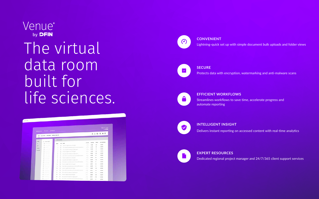#### **EFFICIENT WORKFLOWS**

Streamlines workflows to save time, accelerate progress and automate reporting

#### **SECURE**

Protects data with encryption, watermarking and anti-malware scans

#### **CONVENIENT**

Lightning-quick set up with simple document bulk uploads and folder views

# Venue® by **DFIN** The virtual data room built for life sciences.

|            | al procession - Q Search - all Reports     |               |                |                                                               |                                         |                |              |                |  |
|------------|--------------------------------------------|---------------|----------------|---------------------------------------------------------------|-----------------------------------------|----------------|--------------|----------------|--|
|            |                                            |               |                |                                                               |                                         |                |              |                |  |
|            | INTO BALLICTOR SNELBARY DISTRICTANCYTCE    |               |                |                                                               |                                         |                |              | BLDOAD         |  |
|            |                                            |               |                |                                                               |                                         |                |              |                |  |
|            | DFIN Selutions                             |               |                |                                                               |                                         |                |              |                |  |
| <b>MOY</b> | 217 Sumul 14070                            |               |                |                                                               | ACODIS                                  | <b>FEE SCE</b> | <b>INGES</b> | LAST UPDATED   |  |
| ALL:       | ALC AND HOUSE                              | <b>MICH</b>   |                | TIPE AVE                                                      |                                         |                |              | 10/15/20       |  |
| NEM        | 32 PHONE                                   |               |                | BE - Western Superi, Januar and August                        | 12                                      | 1.2MB          | 212          | 120308         |  |
| 188880     | <b>BY CHIMME</b>                           | $\pm$         | m              | One mints acceptably piny counsel becomes.                    | 15                                      | 0.432          | ×            | spreaker       |  |
| KNAMEN'S   | All Convention                             | $\alpha$      | $\equiv$       | THE JACKS DIRECTORY AT ANY GENERAL                            | 23                                      | 82,986         | 18           |                |  |
|            | <b>BS</b> (Hermann)                        | ٠             |                | Mamus suggest Hour informer                                   | H.                                      | 1,418          | 192          | stringers      |  |
|            | <b>Bill Services</b><br><b>BE SHOW THE</b> | ÷             | $\mathbb{R}$   | Out juin adultiple/s at aget quest                            | -12                                     | 0.483          | 225          | 121800         |  |
|            | <b>BELL PRODUCTS</b>                       | ٠             |                | they make a concerne pures of a met fermenture.               | 18                                      | 6248           | m            | strator        |  |
|            | EX company                                 | F.            | m              | Visunes paginis later sel acque                               | 95                                      | 6435           | $\mathbf{m}$ | sznáče         |  |
|            | <b>SECTION AND REAL</b>                    | ٠             | ш              | CHI JHID 90H ARPORT IC 120 GARD.                              | 12                                      | 62101          | 123          | 10714-016      |  |
|            | <b>CO - 100 - 100</b>                      | ٠             | 22             | Colorado (consister appoint a continentale)                   | 어소                                      | 1,1102         | $\mathbb{H}$ | <b>ICENSIS</b> |  |
|            | <b>By Services</b>                         | $\frac{1}{2}$ | $\mathbb{R}^n$ | Hispitale Gagillia (BEEL) of Angele                           | アカ                                      | 0.4702         | ×.           | torists        |  |
|            | <b>By Chemical</b>                         | $\mathcal{L}$ | m.             | Corrento providing peut 18 anni formettati.                   | i B                                     | 0.1148         | m            | 10/19/08       |  |
|            | <b>Britannich</b>                          | 甘             |                | that he hand lifty and and the                                | 98                                      | 1.5 MB         | 242          | 101505         |  |
|            | <b>Bill construction</b>                   | 18            |                | [881] Cast-middle competable journal off lasted festivers and | $\mathcal{L}^{\text{out}}_{\text{out}}$ | 0458           | $\bullet$    | 400900         |  |
|            | <b>BE THANKING</b>                         | $+4$          |                | (b) First with 6-5 n explorer at sign sweets                  | od li                                   | 1216           | 72.          | 121610         |  |
|            | <b>RECOMMENDED</b>                         | th.           |                | The C. Vivienna's sagitive langer yet august                  | 93                                      | 1,938          | 182          | streates       |  |
|            | BE Incomedy.                               | $\mathbf{H}$  |                | THE THAT SURE FIRST INSPECTION OF MESS                        | 73                                      | CARE           | 373          | 101606         |  |
|            | <b>BE COMMAND</b>                          | $35^{\circ}$  | 14             | Cost explic sives clients down 52 John Street Book            | -15                                     | 0.2 MH         | tž.          | 101105         |  |



#### **EXPERT RESOURCES**

Dedicated regional project manager and 24/7/365 client support services

#### **INTELLIGENT INSIGHT**

Delivers instant reporting on accessed content with real-time analytics